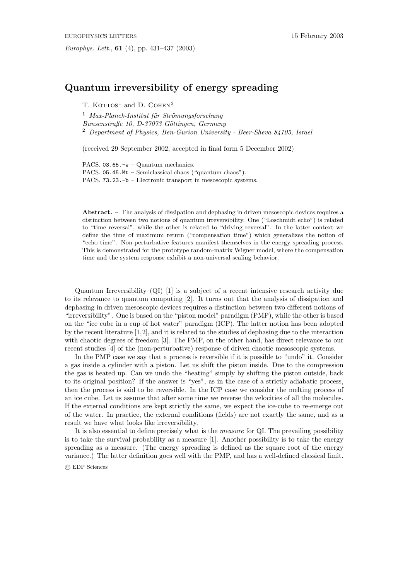## **Quantum irreversibility of energy spreading**

T. KOTTOS<sup>1</sup> and D. COHEN<sup>2</sup>

<sup>1</sup> *Max-Planck-Institut für Strömungsforschung Bunsenstraße 10, D-37073 G¨ottingen, Germany* <sup>2</sup> *Department of Physics, Ben-Gurion University - Beer-Sheva 84105, Israel*

(received 29 September 2002; accepted in final form 5December 2002)

PACS.  $03.65.-w -$ Quantum mechanics. PACS. 05.45.Mt – Semiclassical chaos ("quantum chaos"). PACS. 73.23.-b – Electronic transport in mesoscopic systems.

Abstract. – The analysis of dissipation and dephasing in driven mesoscopic devices requires a distinction between two notions of quantum irreversibility. One ("Loschmidt echo") is related to "time reversal", while the other is related to "driving reversal". In the latter context we define the time of maximum return ("compensation time") which generalizes the notion of "echo time". Non-perturbative features manifest themselves in the energy spreading process. This is demonstrated for the prototype random-matrix Wigner model, where the compensation time and the system response exhibit a non-universal scaling behavior.

Quantum Irreversibility (QI) [1] is a subject of a recent intensive research activity due to its relevance to quantum computing [2]. It turns out that the analysis of dissipation and dephasing in driven mesoscopic devices requires a distinction between two different notions of "irreversibility". One is based on the "piston model" paradigm (PMP), while the other is based on the "ice cube in a cup of hot water" paradigm (ICP). The latter notion has been adopted by the recent literature [1,2], and it is related to the studies of dephasing due to the interaction with chaotic degrees of freedom [3]. The PMP, on the other hand, has direct relevance to our recent studies [4] of the (non-perturbative) response of driven chaotic mesoscopic systems.

In the PMP case we say that a process is reversible if it is possible to "undo" it. Consider a gas inside a cylinder with a piston. Let us shift the piston inside. Due to the compression the gas is heated up. Can we undo the "heating" simply by shifting the piston outside, back to its original position? If the answer is "yes", as in the case of a strictly adiabatic process, then the process is said to be reversible. In the ICP case we consider the melting process of an ice cube. Let us assume that after some time we reverse the velocities of all the molecules. If the external conditions are kept strictly the same, we expect the ice-cube to re-emerge out of the water. In practice, the external conditions (fields) are not exactly the same, and as a result we have what looks like irreversibility.

It is also essential to define precisely what is the *measure* for QI. The prevailing possibility is to take the survival probability as a measure [1]. Another possibility is to take the energy spreading as a measure. (The energy spreading is defined as the square root of the energy variance.) The latter definition goes well with the PMP, and has a well-defined classical limit.

c EDP Sciences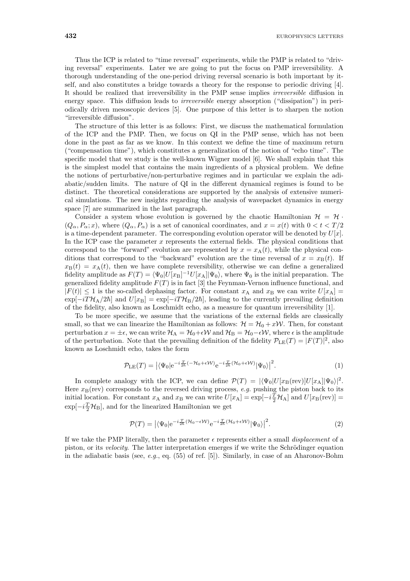Thus the ICP is related to "time reversal" experiments, while the PMP is related to "driving reversal" experiments. Later we are going to put the focus on PMP irreversibility. A thorough understanding of the one-period driving reversal scenario is both important by itself, and also constitutes a bridge towards a theory for the response to periodic driving [4]. It should be realized that irreversibility in the PMP sense implies *irreversible* diffusion in energy space. This diffusion leads to *irreversible* energy absorption ("dissipation") in periodically driven mesoscopic devices [5]. One purpose of this letter is to sharpen the notion "irreversible diffusion".

The structure of this letter is as follows: First, we discuss the mathematical formulation of the ICP and the PMP. Then, we focus on QI in the PMP sense, which has not been done in the past as far as we know. In this context we define the time of maximum return ("compensation time"), which constitutes a generalization of the notion of "echo time". The specific model that we study is the well-known Wigner model [6]. We shall explain that this is the simplest model that contains the main ingredients of a physical problem. We define the notions of perturbative/non-perturbative regimes and in particular we explain the adiabatic/sudden limits. The nature of QI in the different dynamical regimes is found to be distinct. The theoretical considerations are supported by the analysis of extensive numerical simulations. The new insights regarding the analysis of wavepacket dynamics in energy space [7] are summarized in the last paragraph.

Consider a system whose evolution is governed by the chaotic Hamiltonian  $\mathcal{H} = \mathcal{H}$ .  $(Q_{\alpha}, P_{\alpha}; x)$ , where  $(Q_{\alpha}, P_{\alpha})$  is a set of canonical coordinates, and  $x = x(t)$  with  $0 < t < T/2$ is a time-dependent parameter. The corresponding evolution operator will be denoted by  $U[x]$ . In the ICP case the parameter  $x$  represents the external fields. The physical conditions that correspond to the "forward" evolution are represented by  $x = x_A(t)$ , while the physical conditions that correspond to the "backward" evolution are the time reversal of  $x = x_B(t)$ . If  $x_{\text{B}}(t) = x_{\text{A}}(t)$ , then we have complete reversibility, otherwise we can define a generalized fidelity amplitude as  $F(T) = \langle \Psi_0 | U[x_B]^{-1} U[x_A] | \Psi_0 \rangle$ , where  $\Psi_0$  is the initial preparation. The generalized fidelity amplitude  $F(T)$  is in fact [3] the Feynman-Vernon influence functional, and  $|F(t)| \leq 1$  is the so-called dephasing factor. For constant  $x_A$  and  $x_B$  we can write  $U[x_A] =$  $\exp[-iT\mathcal{H}_A/2\hbar]$  and  $U[x_B] = \exp[-iT\mathcal{H}_B/2\hbar]$ , leading to the currently prevailing definition of the fidelity, also known as Loschmidt echo, as a measure for quantum irreversibility [1].

To be more specific, we assume that the variations of the external fields are classically small, so that we can linearize the Hamiltonian as follows:  $\mathcal{H} = \mathcal{H}_0 + x\mathcal{W}$ . Then, for constant perturbation  $x = \pm \epsilon$ , we can write  $\mathcal{H}_A = \mathcal{H}_0 + \epsilon \mathcal{W}$  and  $\mathcal{H}_B = \mathcal{H}_0 - \epsilon \mathcal{W}$ , where  $\epsilon$  is the amplitude of the perturbation. Note that the prevailing definition of the fidelity  $\mathcal{P}_{\rm LE}(T) = |F(T)|^2$ , also known as Loschmidt echo, takes the form

$$
\mathcal{P}_{\text{LE}}(T) = \left| \langle \Psi_0 | e^{-i \frac{T}{2\hbar} (-\mathcal{H}_0 + \epsilon \mathcal{W})} e^{-i \frac{T}{2\hbar} (\mathcal{H}_0 + \epsilon \mathcal{W})} | \Psi_0 \rangle \right|^2. \tag{1}
$$

In complete analogy with the ICP, we can define  $\mathcal{P}(T) = |\langle \Psi_0 | U[x_B(\text{rev})] U[x_A] | \Psi_0 \rangle|^2$ . Here  $x_B$ (rev) corresponds to the reversed driving process, *e.g.* pushing the piston back to its initial location. For constant  $x_A$  and  $x_B$  we can write  $U[x_A] = \exp[-i\frac{T}{2}\mathcal{H}_A]$  and  $U[x_B(\text{rev})] =$  $\exp[-i\frac{T}{2}\mathcal{H}_{\text{B}}],$  and for the linearized Hamiltonian we get

$$
\mathcal{P}(T) = \left| \langle \Psi_0 | e^{-i\frac{T}{2\hbar} (\mathcal{H}_0 - \epsilon \mathcal{W})} e^{-i\frac{T}{2\hbar} (\mathcal{H}_0 + \epsilon \mathcal{W})} | \Psi_0 \rangle \right|^2. \tag{2}
$$

If we take the PMP literally, then the parameter  $\epsilon$  represents either a small *displacement* of a piston, or its *velocity*. The latter interpretation emerges if we write the Schrödinger equation in the adiabatic basis (see, *e.g.*, eq. (55) of ref. [5]). Similarly, in case of an Aharonov-Bohm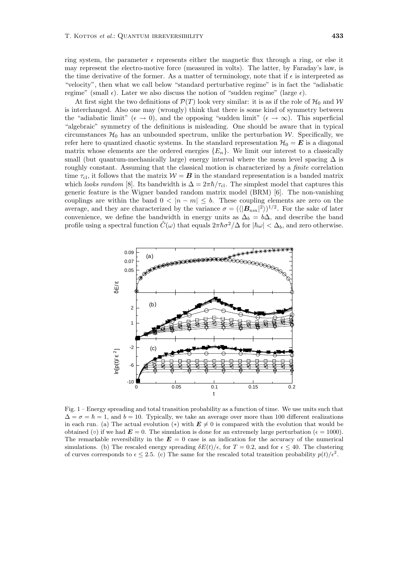ring system, the parameter  $\epsilon$  represents either the magnetic flux through a ring, or else it may represent the electro-motive force (measured in volts). The latter, by Faraday's law, is the time derivative of the former. As a matter of terminology, note that if  $\epsilon$  is interpreted as "velocity", then what we call below "standard perturbative regime" is in fact the "adiabatic regime" (small  $\epsilon$ ). Later we also discuss the notion of "sudden regime" (large  $\epsilon$ ).

At first sight the two definitions of  $\mathcal{P}(T)$  look very similar: it is as if the role of  $\mathcal{H}_0$  and W is interchanged. Also one may (wrongly) think that there is some kind of symmetry between the "adiabatic limit" ( $\epsilon \to 0$ ), and the opposing "sudden limit" ( $\epsilon \to \infty$ ). This superficial "algebraic" symmetry of the definitions is misleading. One should be aware that in typical circumstances  $\mathcal{H}_0$  has an unbounded spectrum, unlike the perturbation W. Specifically, we refer here to quantized chaotic systems. In the standard representation  $\mathcal{H}_0 = \mathbf{E}$  is a diagonal matrix whose elements are the ordered energies  $\{E_n\}$ . We limit our interest to a classically small (but quantum-mechanically large) energy interval where the mean level spacing  $\Delta$  is roughly constant. Assuming that the classical motion is characterized by a *finite* correlation time  $\tau_{\text{cl}}$ , it follows that the matrix  $\mathcal{W} = \mathbf{B}$  in the standard representation is a banded matrix which *looks random* [8]. Its bandwidth is  $\Delta = 2\pi\hbar/\tau_{\rm cl}$ . The simplest model that captures this generic feature is the Wigner banded random matrix model (BRM) [6]. The non-vanishing couplings are within the band  $0 < |n - m| \leq b$ . These coupling elements are zero on the average, and they are characterized by the variance  $\sigma = (\langle |B_{nm}|^2 \rangle)^{1/2}$ . For the sake of later convenience, we define the bandwidth in energy units as  $\Delta_b = b\Delta$ , and describe the band profile using a spectral function  $\tilde{C}(\omega)$  that equals  $2\pi\hbar\sigma^2/\Delta$  for  $|\hbar\omega| < \Delta_b$ , and zero otherwise.



Fig. 1 – Energy spreading and total transition probability as a function of time. We use units such that  $\Delta = \sigma = \hbar = 1$ , and  $b = 10$ . Typically, we take an average over more than 100 different realizations in each run. (a) The actual evolution (\*) with  $E \neq 0$  is compared with the evolution that would be obtained ( $\circ$ ) if we had  $\mathbf{E} = 0$ . The simulation is done for an extremely large perturbation ( $\epsilon = 1000$ ). The remarkable reversibility in the  $E = 0$  case is an indication for the accuracy of the numerical simulations. (b) The rescaled energy spreading  $\delta E(t)/\epsilon$ , for  $T = 0.2$ , and for  $\epsilon \leq 40$ . The clustering of curves corresponds to  $\epsilon \leq 2.5$ . (c) The same for the rescaled total transition probability  $p(t)/\epsilon^2$ .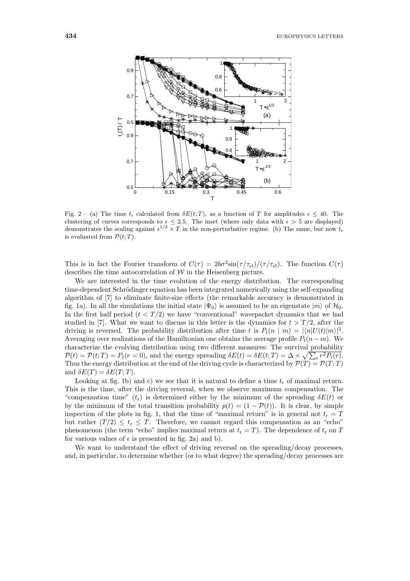

Fig. 2 – (a) The time  $t_r$  calculated from  $\delta E(t;T)$ , as a function of T for amplitudes  $\epsilon \leq 40$ . The clustering of curves corresponds to  $\epsilon \leq 2.5$ . The inset (where only data with  $\epsilon > 5$  are displayed) demonstrates the scaling against  $\epsilon^{1/3} \times T$  in the non-perturbative regime. (b) The same, but now  $t_r$ is evaluated from  $\mathcal{P}(t;T)$ .

This is in fact the Fourier transform of  $C(\tau) = 2b\sigma^2 \sin(\tau / \tau_{\text{cl}})/(\tau / \tau_{\text{cl}})$ . The function  $C(\tau)$ describes the time autocorrelation of  $W$  in the Heisenberg picture.

We are interested in the time evolution of the energy distribution. The corresponding time-dependent Schrödinger equation has been integrated numerically using the self-expanding algorithm of [7] to eliminate finite-size effects (the remarkable accuracy is demonstrated in fig. 1a). In all the simulations the initial state  $|\Psi_0\rangle$  is assumed to be an eigenstate  $|m\rangle$  of  $\mathcal{H}_0$ . In the first half period  $(t < T/2)$  we have "conventional" wavepacket dynamics that we had studied in [7]. What we want to discuss in this letter is the dynamics for  $t > T/2$ , after the driving is reversed. The probability distribution after time t is  $P_t(n | m) = |\langle n|U(t)|m\rangle|^2$ . Averaging over realizations of the Hamiltonian one obtains the average profile  $P_t(n-m)$ . We characterize the evolving distribution using two different measures: The survival probability  $\mathcal{P}(t) = \mathcal{P}(t;T) = P_t(r=0)$ , and the energy spreading  $\delta E(t) = \delta E(t;T) = \Delta \times \sqrt{\sum_r r^2 P_t(r)}$ . Thus the energy distribution at the end of the driving cycle is characterized by  $\mathcal{P}(T) = \mathcal{P}(T;T)$ and  $\delta E(T) = \delta E(T; T)$ .

Looking at fig. 1b) and c) we see that it is natural to define a time  $t_r$  of maximal return. This is the time, after the driving reversal, when we observe maximum compensation. The "compensation time"  $(t_r)$  is determined either by the minimum of the spreading  $\delta E(t)$  or by the minimum of the total transition probability  $p(t) = (1 - \mathcal{P}(t))$ . It is clear, by simple inspection of the plots in fig. 1, that the time of "maximal return" is in general not  $t_r = T$ but rather  $(T/2) \leq t_r \leq T$ . Therefore, we cannot regard this compensation as an "echo" phenomenon (the term "echo" implies maximal return at  $t_r = T$ ). The dependence of  $t_r$  on T for various values of  $\epsilon$  is presented in fig. 2a) and b).

We want to understand the effect of driving reversal on the spreading/decay processes. and, in particular, to determine whether (or to what degree) the spreading/decay processes are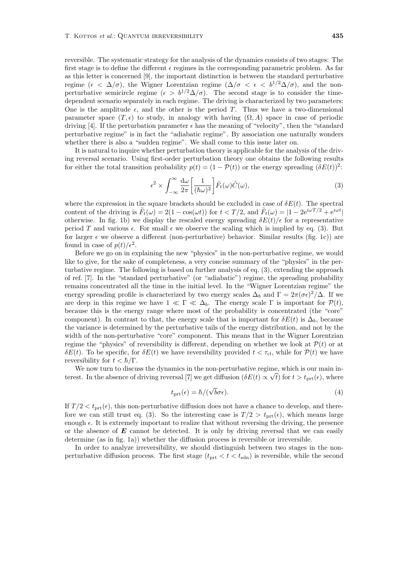reversible. The systematic strategy for the analysis of the dynamics consists of two stages: The first stage is to define the different  $\epsilon$  regimes in the corresponding parametric problem. As far as this letter is concerned [9], the important distinction is between the standard perturbative regime ( $\epsilon < \Delta/\sigma$ ), the Wigner Lorentzian regime ( $\Delta/\sigma < \epsilon < b^{1/2}\Delta/\sigma$ ), and the nonperturbative semicircle regime ( $\epsilon > b^{1/2} \Delta/\sigma$ ). The second stage is to consider the timedependent scenario separately in each regime. The driving is characterized by two parameters: One is the amplitude  $\epsilon$ , and the other is the period T. Thus we have a two-dimensional parameter space  $(T, \epsilon)$  to study, in analogy with having  $(\Omega, A)$  space in case of periodic driving [4]. If the perturbation parameter  $\epsilon$  has the meaning of "velocity", then the "standard perturbative regime" is in fact the "adiabatic regime". By association one naturally wonders whether there is also a "sudden regime". We shall come to this issue later on.

It is natural to inquire whether perturbation theory is applicable for the analysis of the driving reversal scenario. Using first-order perturbation theory one obtains the following results for either the total transition probability  $p(t) = (1 - \mathcal{P}(t))$  or the energy spreading  $(\delta E(t))^2$ :

$$
\epsilon^2 \times \int_{-\infty}^{\infty} \frac{d\omega}{2\pi} \left[ \frac{1}{(\hbar \omega)^2} \right] \tilde{F}_t(\omega) \tilde{C}(\omega),\tag{3}
$$

where the expression in the square brackets should be excluded in case of  $\delta E(t)$ . The spectral content of the driving is  $\tilde{F}_t(\omega) = 2(1 - \cos(\omega t))$  for  $t < T/2$ , and  $\tilde{F}_t(\omega) = |1 - 2e^{i\omega T/2} + e^{i\omega t}|$ otherwise. In fig. 1b) we display the rescaled energy spreading  $\delta E(t)/\epsilon$  for a representative period T and various  $\epsilon$ . For small  $\epsilon$  we observe the scaling which is implied by eq. (3). But for larger  $\epsilon$  we observe a different (non-perturbative) behavior. Similar results (fig. 1c)) are found in case of  $p(t)/\epsilon^2$ .

Before we go on in explaining the new "physics" in the non-perturbative regime, we would like to give, for the sake of completeness, a very concise summary of the "physics" in the perturbative regime. The following is based on further analysis of eq. (3), extending the approach of ref. [7]. In the "standard perturbative" (or "adiabatic") regime, the spreading probability remains concentrated all the time in the initial level. In the "Wigner Lorentzian regime" the energy spreading profile is characterized by two energy scales  $\Delta_b$  and  $\Gamma = 2\pi(\sigma \epsilon)^2/\Delta$ . If we are deep in this regime we have  $1 \ll \Gamma \ll \Delta_b$ . The energy scale  $\Gamma$  is important for  $\mathcal{P}(t)$ , because this is the energy range where most of the probability is concentrated (the "core" component). In contrast to that, the energy scale that is important for  $\delta E(t)$  is  $\Delta_b$ , because the variance is determined by the perturbative tails of the energy distribution, and not by the width of the non-perturbative "core" component. This means that in the Wigner Lorentzian regime the "physics" of reversibility is different, depending on whether we look at  $\mathcal{P}(t)$  or at  $\delta E(t)$ . To be specific, for  $\delta E(t)$  we have reversibility provided  $t < \tau_{\rm cl}$ , while for  $\mathcal{P}(t)$  we have reversibility for  $t < \hbar / \Gamma$ .

We now turn to discuss the dynamics in the non-perturbative regime, which is our main interest. In the absence of driving reversal [7] we get diffusion  $(\delta E(t) \propto \sqrt{t})$  for  $t > t_{\text{prt}}(\epsilon)$ , where

$$
t_{\rm prt}(\epsilon) = \hbar / (\sqrt{b}\sigma \epsilon). \tag{4}
$$

If  $T/2 < t_{\text{prt}}(\epsilon)$ , this non-perturbative diffusion does not have a chance to develop, and therefore we can still trust eq. (3). So the interesting case is  $T/2 > t_{\text{prt}}(\epsilon)$ , which means large enough  $\epsilon$ . It is extremely important to realize that without reversing the driving, the presence or the absence of *E* cannot be detected. It is only by driving reversal that we can easily determine (as in fig. 1a)) whether the diffusion process is reversible or irreversible.

In order to analyze irreversibility, we should distinguish between two stages in the nonperturbative diffusion process. The first stage  $(t_{\text{prt}} < t < t_{\text{sdn}})$  is reversible, while the second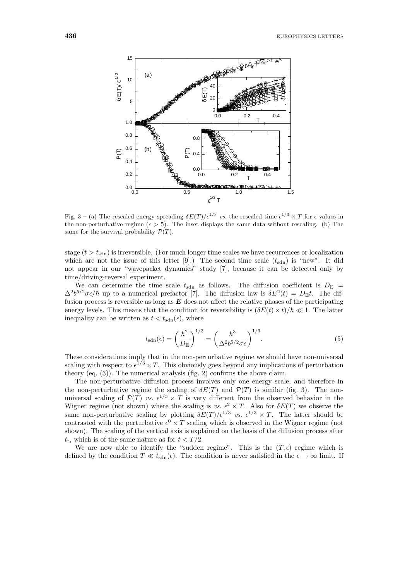

Fig. 3 – (a) The rescaled energy spreading  $\delta E(T)/\epsilon^{1/3}$  vs. the rescaled time  $\epsilon^{1/3} \times T$  for  $\epsilon$  values in the non-perturbative regime ( $\epsilon > 5$ ). The inset displays the same data without rescaling. (b) The same for the survival probability  $\mathcal{P}(T)$ .

stage  $(t>t_{\text{sdn}})$  is irreversible. (For much longer time scales we have recurrences or localization which are not the issue of this letter [9].) The second time scale  $(t_{\text{sdn}})$  is "new". It did not appear in our "wavepacket dynamics" study [7], because it can be detected only by time/driving-reversal experiment.

We can determine the time scale  $t_{\text{sdn}}$  as follows. The diffusion coefficient is  $D_{\text{E}}$  =  $\Delta^2 b^{5/2} \sigma \epsilon / \hbar$  up to a numerical prefactor [7]. The diffusion law is  $\delta E^2(t) = D_{\rm E} t$ . The diffusion process is reversible as long as *E* does not affect the relative phases of the participating energy levels. This means that the condition for reversibility is  $(\delta E(t) \times t)/\hbar \ll 1$ . The latter inequality can be written as  $t < t_{\text{sdn}}(\epsilon)$ , where

$$
t_{\rm sdn}(\epsilon) = \left(\frac{\hbar^2}{D_{\rm E}}\right)^{1/3} = \left(\frac{\hbar^3}{\Delta^2 b^{5/2} \sigma \epsilon}\right)^{1/3}.\tag{5}
$$

These considerations imply that in the non-perturbative regime we should have non-universal scaling with respect to  $\epsilon^{1/3} \times T$ . This obviously goes beyond any implications of perturbation theory (eq. (3)). The numerical analysis (fig. 2) confirms the above claim.

The non-perturbative diffusion process involves only one energy scale, and therefore in the non-perturbative regime the scaling of  $\delta E(T)$  and  $\mathcal{P}(T)$  is similar (fig. 3). The nonuniversal scaling of  $\mathcal{P}(T)$  *vs.*  $\epsilon^{1/3} \times T$  is very different from the observed behavior in the Wigner regime (not shown) where the scaling is *vs.*  $\epsilon^2 \times T$ . Also for  $\delta E(T)$  we observe the same non-perturbative scaling by plotting  $\delta E(T)/\epsilon^{1/3}$  *vs.*  $\epsilon^{1/3} \times T$ . The latter should be contrasted with the perturbative  $\epsilon^0 \times T$  scaling which is observed in the Wigner regime (not shown). The scaling of the vertical axis is explained on the basis of the diffusion process after  $t_r$ , which is of the same nature as for  $t < T/2$ .

We are now able to identify the "sudden regime". This is the  $(T, \epsilon)$  regime which is defined by the condition  $T \ll t_{\text{sdn}}(\epsilon)$ . The condition is never satisfied in the  $\epsilon \to \infty$  limit. If